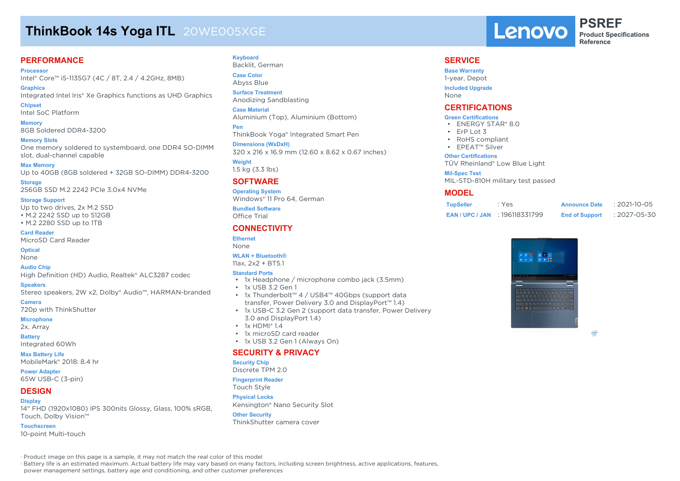# **ThinkBook 14s Yoga ITL** 20WE005XGE

## **PERFORMANCE**

**Processor** Intel® Core™ i5-1135G7 (4C / 8T, 2.4 / 4.2GHz, 8MB)

**Graphics** Integrated Intel Iris® Xe Graphics functions as UHD Graphics **Chipset**

Intel SoC Platform

**Memory** 8GB Soldered DDR4-3200

**Memory Slots** One memory soldered to systemboard, one DDR4 SO-DIMM slot, dual-channel capable

**Max Memory** Up to 40GB (8GB soldered + 32GB SO-DIMM) DDR4-3200

**Storage** 256GB SSD M.2 2242 PCIe 3.0x4 NVMe

**Storage Support**

Up to two drives, 2x M.2 SSD • M.2 2242 SSD up to 512GB • M.2 2280 SSD up to 1TB

**Card Reader** MicroSD Card Reader

**Optical**

None

**Audio Chip**

High Definition (HD) Audio, Realtek® ALC3287 codec

**Speakers**

Stereo speakers, 2W x2, Dolby® Audio™, HARMAN-branded

**Camera**

720p with ThinkShutter

### **Microphone**

2x, Array

**Battery**

Integrated 60Wh

**Max Battery Life**

MobileMark® 2018: 8.4 hr

**Power Adapter**

65W USB-C (3-pin)

## **DESIGN**

#### **Display**

14" FHD (1920x1080) IPS 300nits Glossy, Glass, 100% sRGB, Touch, Dolby Vision™

**Touchscreen**

10-point Multi-touch

**Keyboard** Backlit, German

**Case Color** Abyss Blue

**Surface Treatment** Anodizing Sandblasting

**Case Material** Aluminium (Top), Aluminium (Bottom)

**Pen** ThinkBook Yoga® Integrated Smart Pen

**Dimensions (WxDxH)** 320 x 216 x 16.9 mm (12.60 x 8.62 x 0.67 inches)

**Weight** 1.5 kg (3.3 lbs)

# **SOFTWARE**

**Operating System** Windows® 11 Pro 64, German

**Bundled Software** Office Trial

### **CONNECTIVITY**

**Ethernet** None

### **WLAN + Bluetooth®**

11ax, 2x2 + BT5.1

#### **Standard Ports**

- 1x Headphone / microphone combo jack (3.5mm)
- 1x USB 3.2 Gen 1
- 1x Thunderbolt™ 4 / USB4™ 40Gbps (support data transfer, Power Delivery 3.0 and DisplayPort™ 1.4)
- 1x USB-C 3.2 Gen 2 (support data transfer, Power Delivery 3.0 and DisplayPort 1.4)
- $\cdot$  1x HDMI® 14
- 1x microSD card reader
- 1x USB 3.2 Gen 1 (Always On)

### **SECURITY & PRIVACY**

#### **Security Chip**

Discrete TPM 2.0

**Fingerprint Reader** Touch Style

#### **Physical Locks**

Kensington® Nano Security Slot

**Other Security** ThinkShutter camera cover



**PSREF Product Specifications Reference**

### **SERVICE**

**Base Warranty** 1-year, Depot **Included Upgrade**

None **CERTIFICATIONS**

# **Green Certifications**

- ENERGY STAR® 8.0
- ErP Lot 3
- RoHS compliant
- EPEAT™ Silver

#### **Other Certifications**

TÜV Rheinland® Low Blue Light

#### **Mil-Spec Test**

MIL-STD-810H military test passed

### **MODEL**

| <b>TopSeller</b>       | : Yes          | <b>Announce Date</b>  | $: 2021 - 10 - 05$ |
|------------------------|----------------|-----------------------|--------------------|
| <b>EAN / UPC / JAN</b> | : 196118331799 | <b>End of Support</b> | : 2027-05-30       |



(intel)

· Product image on this page is a sample, it may not match the real color of this model

· Battery life is an estimated maximum. Actual battery life may vary based on many factors, including screen brightness, active applications, features,

power management settings, battery age and conditioning, and other customer preferences